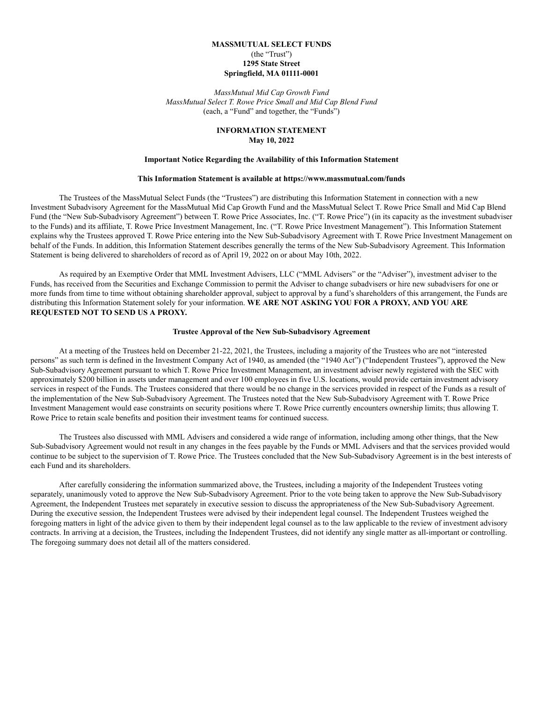## **MASSMUTUAL SELECT FUNDS** (the "Trust") **1295 State Street Springfield, MA 01111-0001**

*MassMutual Mid Cap Growth Fund MassMutual Select T. Rowe Price Small and Mid Cap Blend Fund* (each, a "Fund" and together, the "Funds")

## **INFORMATION STATEMENT May 10, 2022**

### **Important Notice Regarding the Availability of this Information Statement**

#### **This Information Statement is available at https://www.massmutual.com/funds**

The Trustees of the MassMutual Select Funds (the "Trustees") are distributing this Information Statement in connection with a new Investment Subadvisory Agreement for the MassMutual Mid Cap Growth Fund and the MassMutual Select T. Rowe Price Small and Mid Cap Blend Fund (the "New Sub-Subadvisory Agreement") between T. Rowe Price Associates, Inc. ("T. Rowe Price") (in its capacity as the investment subadviser to the Funds) and its affiliate, T. Rowe Price Investment Management, Inc. ("T. Rowe Price Investment Management"). This Information Statement explains why the Trustees approved T. Rowe Price entering into the New Sub-Subadvisory Agreement with T. Rowe Price Investment Management on behalf of the Funds. In addition, this Information Statement describes generally the terms of the New Sub-Subadvisory Agreement. This Information Statement is being delivered to shareholders of record as of April 19, 2022 on or about May 10th, 2022.

As required by an Exemptive Order that MML Investment Advisers, LLC ("MML Advisers" or the "Adviser"), investment adviser to the Funds, has received from the Securities and Exchange Commission to permit the Adviser to change subadvisers or hire new subadvisers for one or more funds from time to time without obtaining shareholder approval, subject to approval by a fund's shareholders of this arrangement, the Funds are distributing this Information Statement solely for your information. **WE ARE NOT ASKING YOU FOR A PROXY, AND YOU ARE REQUESTED NOT TO SEND US A PROXY.**

### **Trustee Approval of the New Sub-Subadvisory Agreement**

At a meeting of the Trustees held on December 21-22, 2021, the Trustees, including a majority of the Trustees who are not "interested persons" as such term is defined in the Investment Company Act of 1940, as amended (the "1940 Act") ("Independent Trustees"), approved the New Sub-Subadvisory Agreement pursuant to which T. Rowe Price Investment Management, an investment adviser newly registered with the SEC with approximately \$200 billion in assets under management and over 100 employees in five U.S. locations, would provide certain investment advisory services in respect of the Funds. The Trustees considered that there would be no change in the services provided in respect of the Funds as a result of the implementation of the New Sub-Subadvisory Agreement. The Trustees noted that the New Sub-Subadvisory Agreement with T. Rowe Price Investment Management would ease constraints on security positions where T. Rowe Price currently encounters ownership limits; thus allowing T. Rowe Price to retain scale benefits and position their investment teams for continued success.

The Trustees also discussed with MML Advisers and considered a wide range of information, including among other things, that the New Sub-Subadvisory Agreement would not result in any changes in the fees payable by the Funds or MML Advisers and that the services provided would continue to be subject to the supervision of T. Rowe Price. The Trustees concluded that the New Sub-Subadvisory Agreement is in the best interests of each Fund and its shareholders.

After carefully considering the information summarized above, the Trustees, including a majority of the Independent Trustees voting separately, unanimously voted to approve the New Sub-Subadvisory Agreement. Prior to the vote being taken to approve the New Sub-Subadvisory Agreement, the Independent Trustees met separately in executive session to discuss the appropriateness of the New Sub-Subadvisory Agreement. During the executive session, the Independent Trustees were advised by their independent legal counsel. The Independent Trustees weighed the foregoing matters in light of the advice given to them by their independent legal counsel as to the law applicable to the review of investment advisory contracts. In arriving at a decision, the Trustees, including the Independent Trustees, did not identify any single matter as all-important or controlling. The foregoing summary does not detail all of the matters considered.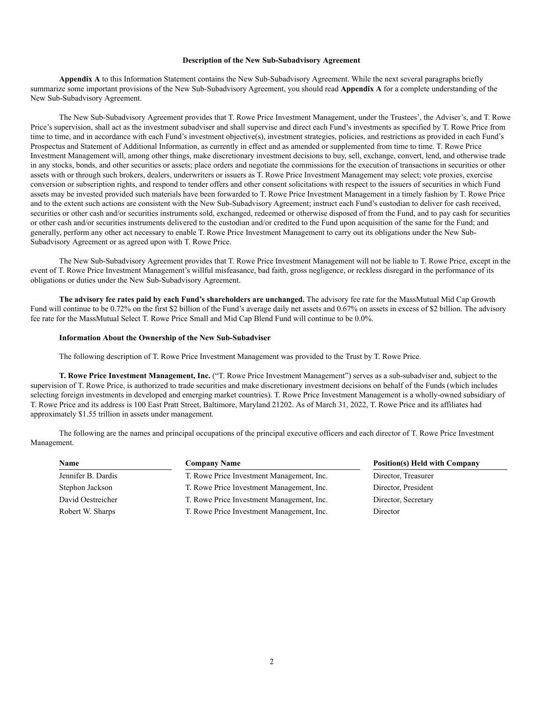#### **Description of the New Sub-Subadvisory Agreement**

**Appendix A** to this Information Statement contains the New Sub-Subadvisory Agreement. While the next several paragraphs briefly summarize some important provisions of the New Sub-Subadvisory Agreement, you should read **Appendix A** for a complete understanding of the New Sub-Subadvisory Agreement.

The New Sub-Subadvisory Agreement provides that T. Rowe Price Investment Management, under the Trustees', the Adviser's, and T. Rowe Price's supervision, shall act as the investment subadviser and shall supervise and direct each Fund's investments as specified by T. Rowe Price from time to time, and in accordance with each Fund's investment objective(s), investment strategies, policies, and restrictions as provided in each Fund's Prospectus and Statement of Additional Information, as currently in effect and as amended or supplemented from time to time. T. Rowe Price Investment Management will, among other things, make discretionary investment decisions to buy, sell, exchange, convert, lend, and otherwise trade in any stocks, bonds, and other securities or assets; place orders and negotiate the commissions for the execution of transactions in securities or other assets with or through such brokers, dealers, underwriters or issuers as T. Rowe Price Investment Management may select; vote proxies, exercise conversion or subscription rights, and respond to tender offers and other consent solicitations with respect to the issuers of securities in which Fund assets may be invested provided such materials have been forwarded to T. Rowe Price Investment Management in a timely fashion by T. Rowe Price and to the extent such actions are consistent with the New Sub-Subadvisory Agreement; instruct each Fund's custodian to deliver for cash received, securities or other cash and/or securities instruments sold, exchanged, redeemed or otherwise disposed of from the Fund, and to pay cash for securities or other cash and/or securities instruments delivered to the custodian and/or credited to the Fund upon acquisition of the same for the Fund; and generally, perform any other act necessary to enable T. Rowe Price Investment Management to carry out its obligations under the New Sub-Subadvisory Agreement or as agreed upon with T. Rowe Price.

The New Sub-Subadvisory Agreement provides that T. Rowe Price Investment Management will not be liable to T. Rowe Price, except in the event of T. Rowe Price Investment Management's willful misfeasance, bad faith, gross negligence, or reckless disregard in the performance of its obligations or duties under the New Sub-Subadvisory Agreement.

**The advisory fee rates paid by each Fund's shareholders are unchanged.** The advisory fee rate for the MassMutual Mid Cap Growth Fund will continue to be 0.72% on the first \$2 billion of the Fund's average daily net assets and 0.67% on assets in excess of \$2 billion. The advisory fee rate for the MassMutual Select T. Rowe Price Small and Mid Cap Blend Fund will continue to be 0.0%.

### **Information About the Ownership of the New Sub-Subadviser**

The following description of T. Rowe Price Investment Management was provided to the Trust by T. Rowe Price.

**T. Rowe Price Investment Management, Inc.** ("T. Rowe Price Investment Management") serves as a sub-subadviser and, subject to the supervision of T. Rowe Price, is authorized to trade securities and make discretionary investment decisions on behalf of the Funds (which includes selecting foreign investments in developed and emerging market countries). T. Rowe Price Investment Management is a wholly-owned subsidiary of T. Rowe Price and its address is 100 East Pratt Street, Baltimore, Maryland 21202. As of March 31, 2022, T. Rowe Price and its affiliates had approximately \$1.55 trillion in assets under management.

The following are the names and principal occupations of the principal executive officers and each director of T. Rowe Price Investment Management.

| <b>Name</b>        | <b>Company Name</b>                       | <b>Position(s) Held with Company</b> |
|--------------------|-------------------------------------------|--------------------------------------|
| Jennifer B. Dardis | T. Rowe Price Investment Management, Inc. | Director, Treasurer                  |
| Stephon Jackson    | T. Rowe Price Investment Management, Inc. | Director, President                  |
| David Oestreicher  | T. Rowe Price Investment Management, Inc. | Director, Secretary                  |
| Robert W. Sharps   | T. Rowe Price Investment Management, Inc. | Director                             |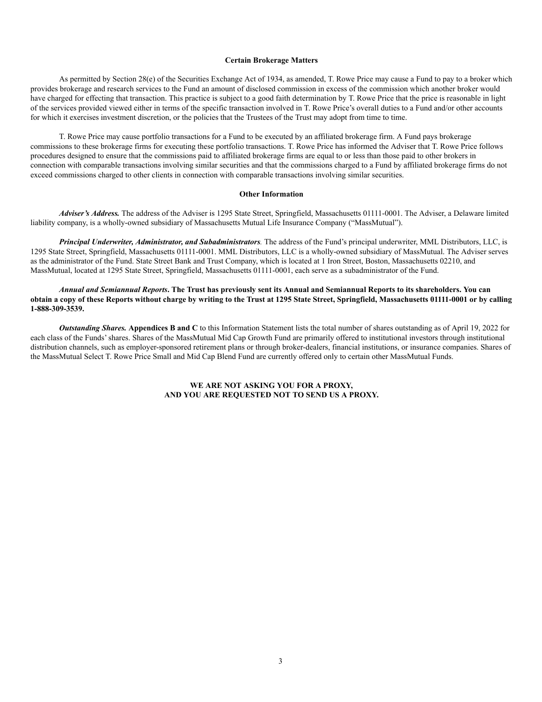#### **Certain Brokerage Matters**

As permitted by Section 28(e) of the Securities Exchange Act of 1934, as amended, T. Rowe Price may cause a Fund to pay to a broker which provides brokerage and research services to the Fund an amount of disclosed commission in excess of the commission which another broker would have charged for effecting that transaction. This practice is subject to a good faith determination by T. Rowe Price that the price is reasonable in light of the services provided viewed either in terms of the specific transaction involved in T. Rowe Price's overall duties to a Fund and/or other accounts for which it exercises investment discretion, or the policies that the Trustees of the Trust may adopt from time to time.

T. Rowe Price may cause portfolio transactions for a Fund to be executed by an affiliated brokerage firm. A Fund pays brokerage commissions to these brokerage firms for executing these portfolio transactions. T. Rowe Price has informed the Adviser that T. Rowe Price follows procedures designed to ensure that the commissions paid to affiliated brokerage firms are equal to or less than those paid to other brokers in connection with comparable transactions involving similar securities and that the commissions charged to a Fund by affiliated brokerage firms do not exceed commissions charged to other clients in connection with comparable transactions involving similar securities.

### **Other Information**

*Adviser's Address.* The address of the Adviser is 1295 State Street, Springfield, Massachusetts 01111-0001. The Adviser, a Delaware limited liability company, is a wholly-owned subsidiary of Massachusetts Mutual Life Insurance Company ("MassMutual").

*Principal Underwriter, Administrator, and Subadministrators.* The address of the Fund's principal underwriter, MML Distributors, LLC, is 1295 State Street, Springfield, Massachusetts 01111-0001. MML Distributors, LLC is a wholly-owned subsidiary of MassMutual. The Adviser serves as the administrator of the Fund. State Street Bank and Trust Company, which is located at 1 Iron Street, Boston, Massachusetts 02210, and MassMutual, located at 1295 State Street, Springfield, Massachusetts 01111-0001, each serve as a subadministrator of the Fund.

*Annual and Semiannual Reports***. The Trust has previously sent its Annual and Semiannual Reports to its shareholders. You can obtain a copy of these Reports without charge by writing to the Trust at 1295 State Street, Springfield, Massachusetts 01111-0001 or by calling 1-888-309-3539.**

*Outstanding Shares.* Appendices **B** and C to this Information Statement lists the total number of shares outstanding as of April 19, 2022 for each class of the Funds'shares. Shares of the MassMutual Mid Cap Growth Fund are primarily offered to institutional investors through institutional distribution channels, such as employer-sponsored retirement plans or through broker-dealers, financial institutions, or insurance companies. Shares of the MassMutual Select T. Rowe Price Small and Mid Cap Blend Fund are currently offered only to certain other MassMutual Funds.

## **WE ARE NOT ASKING YOU FOR A PROXY, AND YOU ARE REQUESTED NOT TO SEND US A PROXY.**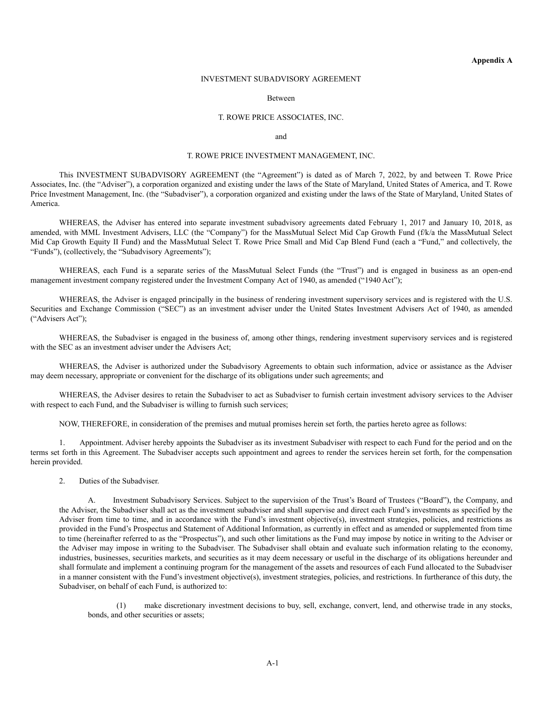## INVESTMENT SUBADVISORY AGREEMENT

#### Between

### T. ROWE PRICE ASSOCIATES, INC.

#### and

### T. ROWE PRICE INVESTMENT MANAGEMENT, INC.

This INVESTMENT SUBADVISORY AGREEMENT (the "Agreement") is dated as of March 7, 2022, by and between T. Rowe Price Associates, Inc. (the "Adviser"), a corporation organized and existing under the laws of the State of Maryland, United States of America, and T. Rowe Price Investment Management, Inc. (the "Subadviser"), a corporation organized and existing under the laws of the State of Maryland, United States of America.

WHEREAS, the Adviser has entered into separate investment subadvisory agreements dated February 1, 2017 and January 10, 2018, as amended, with MML Investment Advisers, LLC (the "Company") for the MassMutual Select Mid Cap Growth Fund (f/k/a the MassMutual Select Mid Cap Growth Equity II Fund) and the MassMutual Select T. Rowe Price Small and Mid Cap Blend Fund (each a "Fund," and collectively, the "Funds"), (collectively, the "Subadvisory Agreements");

WHEREAS, each Fund is a separate series of the MassMutual Select Funds (the "Trust") and is engaged in business as an open-end management investment company registered under the Investment Company Act of 1940, as amended ("1940 Act");

WHEREAS, the Adviser is engaged principally in the business of rendering investment supervisory services and is registered with the U.S. Securities and Exchange Commission ("SEC") as an investment adviser under the United States Investment Advisers Act of 1940, as amended ("Advisers Act");

WHEREAS, the Subadviser is engaged in the business of, among other things, rendering investment supervisory services and is registered with the SEC as an investment adviser under the Advisers Act:

WHEREAS, the Adviser is authorized under the Subadvisory Agreements to obtain such information, advice or assistance as the Adviser may deem necessary, appropriate or convenient for the discharge of its obligations under such agreements; and

WHEREAS, the Adviser desires to retain the Subadviser to act as Subadviser to furnish certain investment advisory services to the Adviser with respect to each Fund, and the Subadviser is willing to furnish such services;

NOW, THEREFORE, in consideration of the premises and mutual promises herein set forth, the parties hereto agree as follows:

1. Appointment. Adviser hereby appoints the Subadviser as its investment Subadviser with respect to each Fund for the period and on the terms set forth in this Agreement. The Subadviser accepts such appointment and agrees to render the services herein set forth, for the compensation herein provided.

2. Duties of the Subadviser.

A. Investment Subadvisory Services. Subject to the supervision of the Trust's Board of Trustees ("Board"), the Company, and the Adviser, the Subadviser shall act as the investment subadviser and shall supervise and direct each Fund's investments as specified by the Adviser from time to time, and in accordance with the Fund's investment objective(s), investment strategies, policies, and restrictions as provided in the Fund's Prospectus and Statement of Additional Information, as currently in effect and as amended or supplemented from time to time (hereinafter referred to as the "Prospectus"), and such other limitations as the Fund may impose by notice in writing to the Adviser or the Adviser may impose in writing to the Subadviser. The Subadviser shall obtain and evaluate such information relating to the economy, industries, businesses, securities markets, and securities as it may deem necessary or useful in the discharge of its obligations hereunder and shall formulate and implement a continuing program for the management of the assets and resources of each Fund allocated to the Subadviser in a manner consistent with the Fund's investment objective(s), investment strategies, policies, and restrictions. In furtherance of this duty, the Subadviser, on behalf of each Fund, is authorized to:

(1) make discretionary investment decisions to buy, sell, exchange, convert, lend, and otherwise trade in any stocks, bonds, and other securities or assets;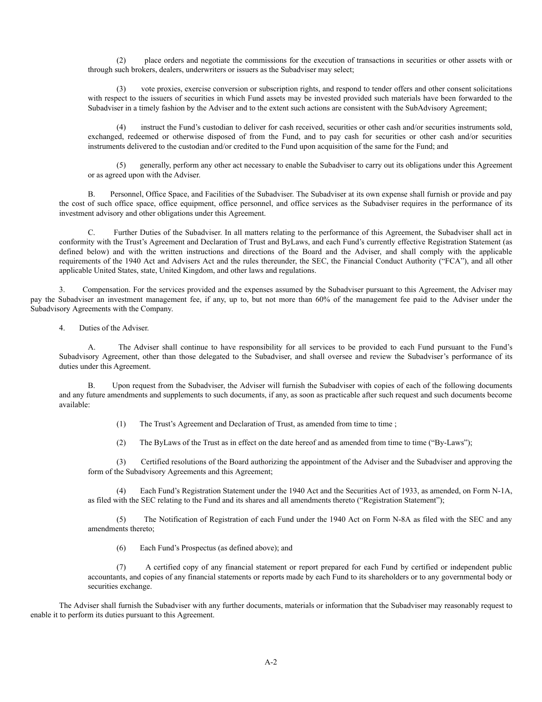(2) place orders and negotiate the commissions for the execution of transactions in securities or other assets with or through such brokers, dealers, underwriters or issuers as the Subadviser may select;

(3) vote proxies, exercise conversion or subscription rights, and respond to tender offers and other consent solicitations with respect to the issuers of securities in which Fund assets may be invested provided such materials have been forwarded to the Subadviser in a timely fashion by the Adviser and to the extent such actions are consistent with the SubAdvisory Agreement;

instruct the Fund's custodian to deliver for cash received, securities or other cash and/or securities instruments sold, exchanged, redeemed or otherwise disposed of from the Fund, and to pay cash for securities or other cash and/or securities instruments delivered to the custodian and/or credited to the Fund upon acquisition of the same for the Fund; and

(5) generally, perform any other act necessary to enable the Subadviser to carry out its obligations under this Agreement or as agreed upon with the Adviser.

B. Personnel, Office Space, and Facilities of the Subadviser. The Subadviser at its own expense shall furnish or provide and pay the cost of such office space, office equipment, office personnel, and office services as the Subadviser requires in the performance of its investment advisory and other obligations under this Agreement.

C. Further Duties of the Subadviser. In all matters relating to the performance of this Agreement, the Subadviser shall act in conformity with the Trust's Agreement and Declaration of Trust and ByLaws, and each Fund's currently effective Registration Statement (as defined below) and with the written instructions and directions of the Board and the Adviser, and shall comply with the applicable requirements of the 1940 Act and Advisers Act and the rules thereunder, the SEC, the Financial Conduct Authority ("FCA"), and all other applicable United States, state, United Kingdom, and other laws and regulations.

3. Compensation. For the services provided and the expenses assumed by the Subadviser pursuant to this Agreement, the Adviser may pay the Subadviser an investment management fee, if any, up to, but not more than 60% of the management fee paid to the Adviser under the Subadvisory Agreements with the Company.

4. Duties of the Adviser.

A. The Adviser shall continue to have responsibility for all services to be provided to each Fund pursuant to the Fund's Subadvisory Agreement, other than those delegated to the Subadviser, and shall oversee and review the Subadviser's performance of its duties under this Agreement.

B. Upon request from the Subadviser, the Adviser will furnish the Subadviser with copies of each of the following documents and any future amendments and supplements to such documents, if any, as soon as practicable after such request and such documents become available:

(1) The Trust's Agreement and Declaration of Trust, as amended from time to time ;

(2) The ByLaws of the Trust as in effect on the date hereof and as amended from time to time ("By-Laws");

(3) Certified resolutions of the Board authorizing the appointment of the Adviser and the Subadviser and approving the form of the Subadvisory Agreements and this Agreement;

(4) Each Fund's Registration Statement under the 1940 Act and the Securities Act of 1933, as amended, on Form N-1A, as filed with the SEC relating to the Fund and its shares and all amendments thereto ("Registration Statement");

(5) The Notification of Registration of each Fund under the 1940 Act on Form N-8A as filed with the SEC and any amendments thereto;

(6) Each Fund's Prospectus (as defined above); and

(7) A certified copy of any financial statement or report prepared for each Fund by certified or independent public accountants, and copies of any financial statements or reports made by each Fund to its shareholders or to any governmental body or securities exchange.

The Adviser shall furnish the Subadviser with any further documents, materials or information that the Subadviser may reasonably request to enable it to perform its duties pursuant to this Agreement.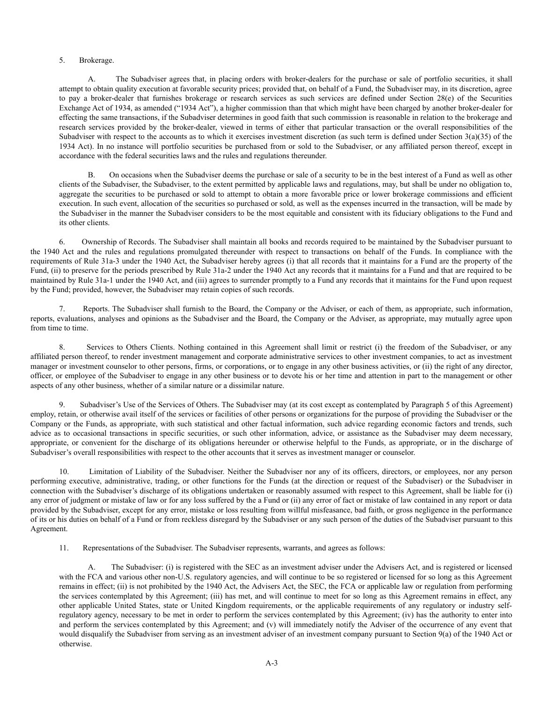## 5. Brokerage.

A. The Subadviser agrees that, in placing orders with broker-dealers for the purchase or sale of portfolio securities, it shall attempt to obtain quality execution at favorable security prices; provided that, on behalf of a Fund, the Subadviser may, in its discretion, agree to pay a broker-dealer that furnishes brokerage or research services as such services are defined under Section 28(e) of the Securities Exchange Act of 1934, as amended ("1934 Act"), a higher commission than that which might have been charged by another broker-dealer for effecting the same transactions, if the Subadviser determines in good faith that such commission is reasonable in relation to the brokerage and research services provided by the broker-dealer, viewed in terms of either that particular transaction or the overall responsibilities of the Subadviser with respect to the accounts as to which it exercises investment discretion (as such term is defined under Section 3(a)(35) of the 1934 Act). In no instance will portfolio securities be purchased from or sold to the Subadviser, or any affiliated person thereof, except in accordance with the federal securities laws and the rules and regulations thereunder.

B. On occasions when the Subadviser deems the purchase or sale of a security to be in the best interest of a Fund as well as other clients of the Subadviser, the Subadviser, to the extent permitted by applicable laws and regulations, may, but shall be under no obligation to, aggregate the securities to be purchased or sold to attempt to obtain a more favorable price or lower brokerage commissions and efficient execution. In such event, allocation of the securities so purchased or sold, as well as the expenses incurred in the transaction, will be made by the Subadviser in the manner the Subadviser considers to be the most equitable and consistent with its fiduciary obligations to the Fund and its other clients.

6. Ownership of Records. The Subadviser shall maintain all books and records required to be maintained by the Subadviser pursuant to the 1940 Act and the rules and regulations promulgated thereunder with respect to transactions on behalf of the Funds. In compliance with the requirements of Rule 31a-3 under the 1940 Act, the Subadviser hereby agrees (i) that all records that it maintains for a Fund are the property of the Fund, (ii) to preserve for the periods prescribed by Rule 31a-2 under the 1940 Act any records that it maintains for a Fund and that are required to be maintained by Rule 31a-1 under the 1940 Act, and (iii) agrees to surrender promptly to a Fund any records that it maintains for the Fund upon request by the Fund; provided, however, the Subadviser may retain copies of such records.

7. Reports. The Subadviser shall furnish to the Board, the Company or the Adviser, or each of them, as appropriate, such information, reports, evaluations, analyses and opinions as the Subadviser and the Board, the Company or the Adviser, as appropriate, may mutually agree upon from time to time.

8. Services to Others Clients. Nothing contained in this Agreement shall limit or restrict (i) the freedom of the Subadviser, or any affiliated person thereof, to render investment management and corporate administrative services to other investment companies, to act as investment manager or investment counselor to other persons, firms, or corporations, or to engage in any other business activities, or (ii) the right of any director, officer, or employee of the Subadviser to engage in any other business or to devote his or her time and attention in part to the management or other aspects of any other business, whether of a similar nature or a dissimilar nature.

9. Subadviser's Use of the Services of Others. The Subadviser may (at its cost except as contemplated by Paragraph 5 of this Agreement) employ, retain, or otherwise avail itself of the services or facilities of other persons or organizations for the purpose of providing the Subadviser or the Company or the Funds, as appropriate, with such statistical and other factual information, such advice regarding economic factors and trends, such advice as to occasional transactions in specific securities, or such other information, advice, or assistance as the Subadviser may deem necessary, appropriate, or convenient for the discharge of its obligations hereunder or otherwise helpful to the Funds, as appropriate, or in the discharge of Subadviser's overall responsibilities with respect to the other accounts that it serves as investment manager or counselor.

10. Limitation of Liability of the Subadviser. Neither the Subadviser nor any of its officers, directors, or employees, nor any person performing executive, administrative, trading, or other functions for the Funds (at the direction or request of the Subadviser) or the Subadviser in connection with the Subadviser's discharge of its obligations undertaken or reasonably assumed with respect to this Agreement, shall be liable for (i) any error of judgment or mistake of law or for any loss suffered by the a Fund or (ii) any error of fact or mistake of law contained in any report or data provided by the Subadviser, except for any error, mistake or loss resulting from willful misfeasance, bad faith, or gross negligence in the performance of its or his duties on behalf of a Fund or from reckless disregard by the Subadviser or any such person of the duties of the Subadviser pursuant to this Agreement.

11. Representations of the Subadviser. The Subadviser represents, warrants, and agrees as follows:

A. The Subadviser: (i) is registered with the SEC as an investment adviser under the Advisers Act, and is registered or licensed with the FCA and various other non-U.S. regulatory agencies, and will continue to be so registered or licensed for so long as this Agreement remains in effect; (ii) is not prohibited by the 1940 Act, the Advisers Act, the SEC, the FCA or applicable law or regulation from performing the services contemplated by this Agreement; (iii) has met, and will continue to meet for so long as this Agreement remains in effect, any other applicable United States, state or United Kingdom requirements, or the applicable requirements of any regulatory or industry selfregulatory agency, necessary to be met in order to perform the services contemplated by this Agreement; (iv) has the authority to enter into and perform the services contemplated by this Agreement; and (v) will immediately notify the Adviser of the occurrence of any event that would disqualify the Subadviser from serving as an investment adviser of an investment company pursuant to Section 9(a) of the 1940 Act or otherwise.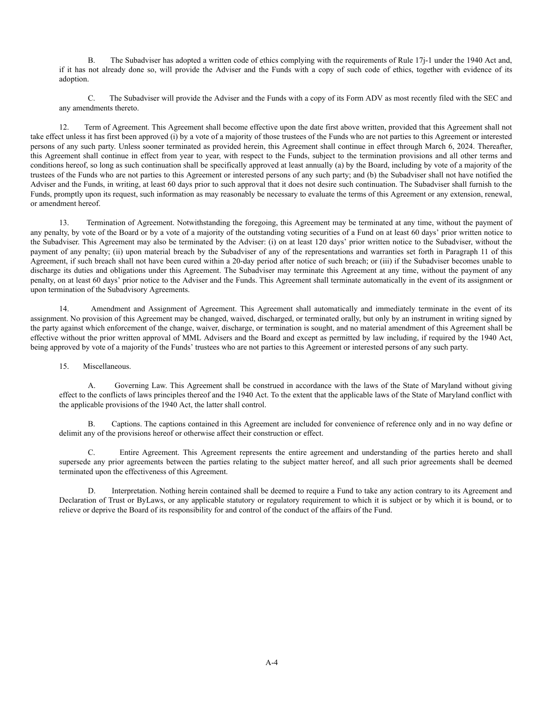B. The Subadviser has adopted a written code of ethics complying with the requirements of Rule 17j-1 under the 1940 Act and, if it has not already done so, will provide the Adviser and the Funds with a copy of such code of ethics, together with evidence of its adoption.

C. The Subadviser will provide the Adviser and the Funds with a copy of its Form ADV as most recently filed with the SEC and any amendments thereto.

12. Term of Agreement. This Agreement shall become effective upon the date first above written, provided that this Agreement shall not take effect unless it has first been approved (i) by a vote of a majority of those trustees of the Funds who are not parties to this Agreement or interested persons of any such party. Unless sooner terminated as provided herein, this Agreement shall continue in effect through March 6, 2024. Thereafter, this Agreement shall continue in effect from year to year, with respect to the Funds, subject to the termination provisions and all other terms and conditions hereof, so long as such continuation shall be specifically approved at least annually (a) by the Board, including by vote of a majority of the trustees of the Funds who are not parties to this Agreement or interested persons of any such party; and (b) the Subadviser shall not have notified the Adviser and the Funds, in writing, at least 60 days prior to such approval that it does not desire such continuation. The Subadviser shall furnish to the Funds, promptly upon its request, such information as may reasonably be necessary to evaluate the terms of this Agreement or any extension, renewal, or amendment hereof.

13. Termination of Agreement. Notwithstanding the foregoing, this Agreement may be terminated at any time, without the payment of any penalty, by vote of the Board or by a vote of a majority of the outstanding voting securities of a Fund on at least 60 days' prior written notice to the Subadviser. This Agreement may also be terminated by the Adviser: (i) on at least 120 days' prior written notice to the Subadviser, without the payment of any penalty; (ii) upon material breach by the Subadviser of any of the representations and warranties set forth in Paragraph 11 of this Agreement, if such breach shall not have been cured within a 20-day period after notice of such breach; or (iii) if the Subadviser becomes unable to discharge its duties and obligations under this Agreement. The Subadviser may terminate this Agreement at any time, without the payment of any penalty, on at least 60 days' prior notice to the Adviser and the Funds. This Agreement shall terminate automatically in the event of its assignment or upon termination of the Subadvisory Agreements.

14. Amendment and Assignment of Agreement. This Agreement shall automatically and immediately terminate in the event of its assignment. No provision of this Agreement may be changed, waived, discharged, or terminated orally, but only by an instrument in writing signed by the party against which enforcement of the change, waiver, discharge, or termination is sought, and no material amendment of this Agreement shall be effective without the prior written approval of MML Advisers and the Board and except as permitted by law including, if required by the 1940 Act, being approved by vote of a majority of the Funds' trustees who are not parties to this Agreement or interested persons of any such party.

15. Miscellaneous.

A. Governing Law. This Agreement shall be construed in accordance with the laws of the State of Maryland without giving effect to the conflicts of laws principles thereof and the 1940 Act. To the extent that the applicable laws of the State of Maryland conflict with the applicable provisions of the 1940 Act, the latter shall control.

B. Captions. The captions contained in this Agreement are included for convenience of reference only and in no way define or delimit any of the provisions hereof or otherwise affect their construction or effect.

C. Entire Agreement. This Agreement represents the entire agreement and understanding of the parties hereto and shall supersede any prior agreements between the parties relating to the subject matter hereof, and all such prior agreements shall be deemed terminated upon the effectiveness of this Agreement.

D. Interpretation. Nothing herein contained shall be deemed to require a Fund to take any action contrary to its Agreement and Declaration of Trust or ByLaws, or any applicable statutory or regulatory requirement to which it is subject or by which it is bound, or to relieve or deprive the Board of its responsibility for and control of the conduct of the affairs of the Fund.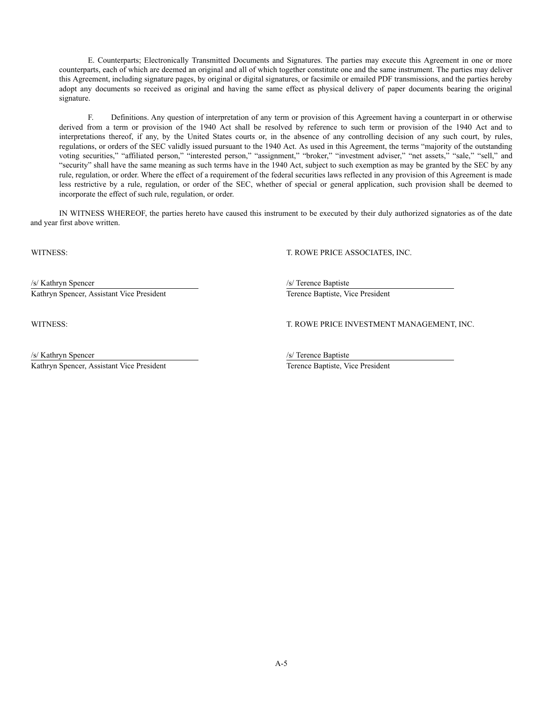E. Counterparts; Electronically Transmitted Documents and Signatures. The parties may execute this Agreement in one or more counterparts, each of which are deemed an original and all of which together constitute one and the same instrument. The parties may deliver this Agreement, including signature pages, by original or digital signatures, or facsimile or emailed PDF transmissions, and the parties hereby adopt any documents so received as original and having the same effect as physical delivery of paper documents bearing the original signature.

F. Definitions. Any question of interpretation of any term or provision of this Agreement having a counterpart in or otherwise derived from a term or provision of the 1940 Act shall be resolved by reference to such term or provision of the 1940 Act and to interpretations thereof, if any, by the United States courts or, in the absence of any controlling decision of any such court, by rules, regulations, or orders of the SEC validly issued pursuant to the 1940 Act. As used in this Agreement, the terms "majority of the outstanding voting securities," "affiliated person," "interested person," "assignment," "broker," "investment adviser," "net assets," "sale," "sell," and "security" shall have the same meaning as such terms have in the 1940 Act, subject to such exemption as may be granted by the SEC by any rule, regulation, or order. Where the effect of a requirement of the federal securities laws reflected in any provision of this Agreement is made less restrictive by a rule, regulation, or order of the SEC, whether of special or general application, such provision shall be deemed to incorporate the effect of such rule, regulation, or order.

IN WITNESS WHEREOF, the parties hereto have caused this instrument to be executed by their duly authorized signatories as of the date and year first above written.

WITNESS: T. ROWE PRICE ASSOCIATES, INC.

/s/ Kathryn Spencer /s/ Terence Baptiste Kathryn Spencer, Assistant Vice President Terence Baptiste, Vice President

WITNESS: T. ROWE PRICE INVESTMENT MANAGEMENT, INC.

/s/ Kathryn Spencer /s/ Terence Baptiste

Kathryn Spencer, Assistant Vice President Terence Baptiste, Vice President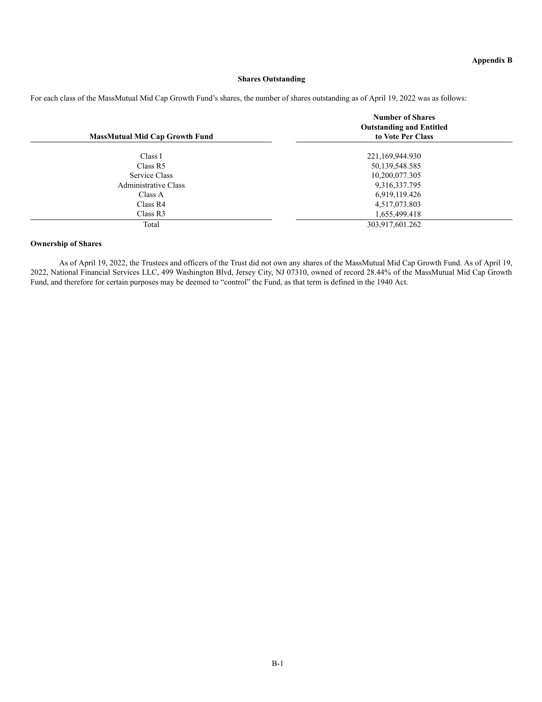# **Shares Outstanding**

For each class of the MassMutual Mid Cap Growth Fund's shares, the number of shares outstanding as of April 19, 2022 was as follows:

|                                       | <b>Number of Shares</b><br><b>Outstanding and Entitled</b> |  |
|---------------------------------------|------------------------------------------------------------|--|
| <b>MassMutual Mid Cap Growth Fund</b> | to Vote Per Class                                          |  |
| Class I                               | 221,169,944.930                                            |  |
| Class R5                              | 50,139,548.585                                             |  |
| Service Class                         | 10,200,077.305                                             |  |
| Administrative Class                  | 9,316,337.795                                              |  |
| Class A                               | 6,919,119.426                                              |  |
| Class R4                              | 4,517,073.803                                              |  |
| Class R3                              | 1,655,499.418                                              |  |
| Total                                 | 303,917,601.262                                            |  |

## **Ownership of Shares**

As of April 19, 2022, the Trustees and officers of the Trust did not own any shares of the MassMutual Mid Cap Growth Fund. As of April 19, 2022, National Financial Services LLC, 499 Washington Blvd, Jersey City, NJ 07310, owned of record 28.44% of the MassMutual Mid Cap Growth Fund, and therefore for certain purposes may be deemed to "control" the Fund, as that term is defined in the 1940 Act.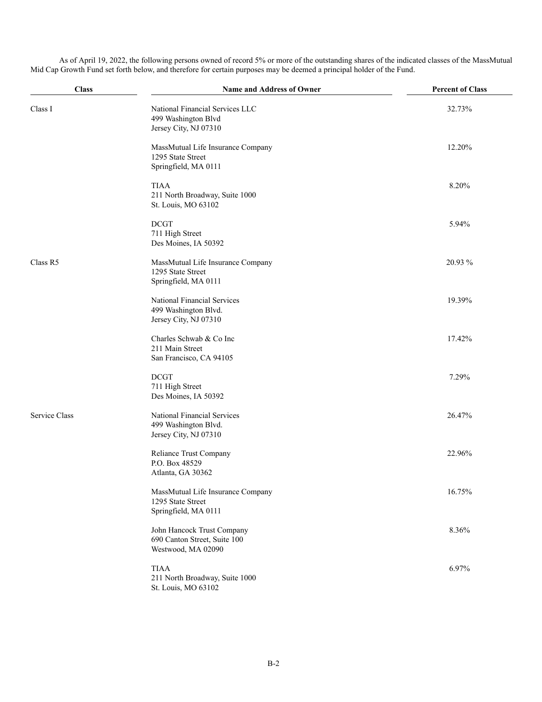**Class Name and Address of Owner Percent of Class** Class I National Financial Services LLC 499 Washington Blvd Jersey City, NJ 07310 32.73% MassMutual Life Insurance Company 1295 State Street Springfield, MA 0111 12.20% TIAA 211 North Broadway, Suite 1000 St. Louis, MO 63102 8.20% DCGT 711 High Street Des Moines, IA 50392 5.94% Class R5 MassMutual Life Insurance Company 1295 State Street Springfield, MA 0111 20.93 % National Financial Services 499 Washington Blvd. Jersey City, NJ 07310 19.39% Charles Schwab & Co Inc 211 Main Street San Francisco, CA 94105 17.42% DCGT 711 High Street Des Moines, IA 50392 7.29% Service Class National Financial Services 499 Washington Blvd. Jersey City, NJ 07310 26.47% Reliance Trust Company P.O. Box 48529 Atlanta, GA 30362 22.96% MassMutual Life Insurance Company 1295 State Street Springfield, MA 0111 16.75% John Hancock Trust Company 690 Canton Street, Suite 100 Westwood, MA 02090 8.36% TIAA 211 North Broadway, Suite 1000 St. Louis, MO 63102 6.97%

As of April 19, 2022, the following persons owned of record 5% or more of the outstanding shares of the indicated classes of the MassMutual Mid Cap Growth Fund set forth below, and therefore for certain purposes may be deemed a principal holder of the Fund.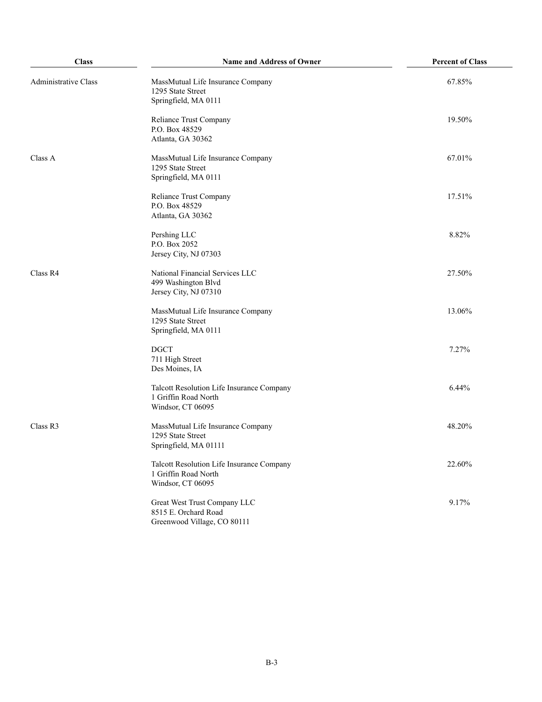| <b>Class</b>         | Name and Address of Owner                                                              | <b>Percent of Class</b> |
|----------------------|----------------------------------------------------------------------------------------|-------------------------|
| Administrative Class | MassMutual Life Insurance Company<br>1295 State Street<br>Springfield, MA 0111         | 67.85%                  |
|                      | Reliance Trust Company<br>P.O. Box 48529<br>Atlanta, GA 30362                          | 19.50%                  |
| Class A              | MassMutual Life Insurance Company<br>1295 State Street<br>Springfield, MA 0111         | 67.01%                  |
|                      | Reliance Trust Company<br>P.O. Box 48529<br>Atlanta, GA 30362                          | 17.51%                  |
|                      | Pershing LLC<br>P.O. Box 2052<br>Jersey City, NJ 07303                                 | 8.82%                   |
| Class R4             | National Financial Services LLC<br>499 Washington Blvd<br>Jersey City, NJ 07310        | 27.50%                  |
|                      | MassMutual Life Insurance Company<br>1295 State Street<br>Springfield, MA 0111         | 13.06%                  |
|                      | <b>DGCT</b><br>711 High Street<br>Des Moines, IA                                       | 7.27%                   |
|                      | Talcott Resolution Life Insurance Company<br>1 Griffin Road North<br>Windsor, CT 06095 | 6.44%                   |
| Class R3             | MassMutual Life Insurance Company<br>1295 State Street<br>Springfield, MA 01111        | 48.20%                  |
|                      | Talcott Resolution Life Insurance Company<br>1 Griffin Road North<br>Windsor, CT 06095 | 22.60%                  |
|                      | Great West Trust Company LLC<br>8515 E. Orchard Road<br>Greenwood Village, CO 80111    | 9.17%                   |